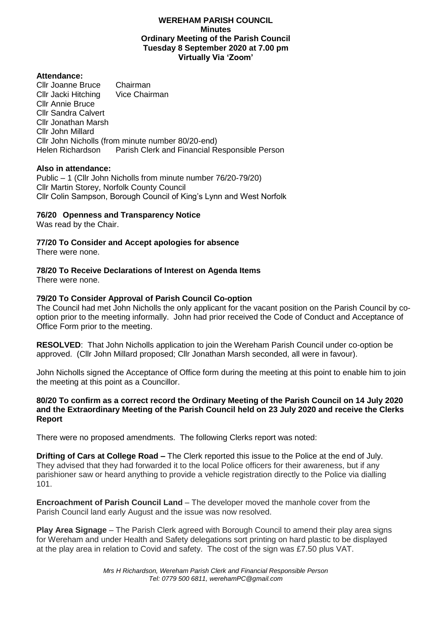#### **WEREHAM PARISH COUNCIL Minutes Ordinary Meeting of the Parish Council Tuesday 8 September 2020 at 7.00 pm Virtually Via 'Zoom'**

#### **Attendance:**

Cllr Joanne Bruce Chairman<br>Cllr Jacki Hitching Vice Chairman Cllr Jacki Hitching Cllr Annie Bruce Cllr Sandra Calvert Cllr Jonathan Marsh Cllr John Millard Cllr John Nicholls (from minute number 80/20-end)<br>Helen Richardson Parish Clerk and Financial Re Parish Clerk and Financial Responsible Person

#### **Also in attendance:**

Public – 1 (Cllr John Nicholls from minute number 76/20-79/20) Cllr Martin Storey, Norfolk County Council Cllr Colin Sampson, Borough Council of King's Lynn and West Norfolk

### **76/20 Openness and Transparency Notice**

Was read by the Chair.

### **77/20 To Consider and Accept apologies for absence**

There were none.

### **78/20 To Receive Declarations of Interest on Agenda Items**

There were none.

## **79/20 To Consider Approval of Parish Council Co-option**

The Council had met John Nicholls the only applicant for the vacant position on the Parish Council by cooption prior to the meeting informally. John had prior received the Code of Conduct and Acceptance of Office Form prior to the meeting.

**RESOLVED**: That John Nicholls application to join the Wereham Parish Council under co-option be approved. (Cllr John Millard proposed; Cllr Jonathan Marsh seconded, all were in favour).

John Nicholls signed the Acceptance of Office form during the meeting at this point to enable him to join the meeting at this point as a Councillor.

### **80/20 To confirm as a correct record the Ordinary Meeting of the Parish Council on 14 July 2020 and the Extraordinary Meeting of the Parish Council held on 23 July 2020 and receive the Clerks Report**

There were no proposed amendments. The following Clerks report was noted:

**Drifting of Cars at College Road –** The Clerk reported this issue to the Police at the end of July. They advised that they had forwarded it to the local Police officers for their awareness, but if any parishioner saw or heard anything to provide a vehicle registration directly to the Police via dialling 101.

**Encroachment of Parish Council Land** – The developer moved the manhole cover from the Parish Council land early August and the issue was now resolved.

**Play Area Signage** – The Parish Clerk agreed with Borough Council to amend their play area signs for Wereham and under Health and Safety delegations sort printing on hard plastic to be displayed at the play area in relation to Covid and safety. The cost of the sign was £7.50 plus VAT.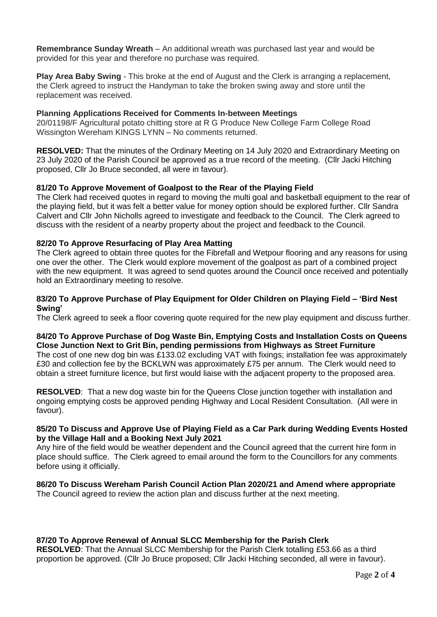**Remembrance Sunday Wreath** – An additional wreath was purchased last year and would be provided for this year and therefore no purchase was required.

**Play Area Baby Swing** - This broke at the end of August and the Clerk is arranging a replacement, the Clerk agreed to instruct the Handyman to take the broken swing away and store until the replacement was received.

### **Planning Applications Received for Comments In-between Meetings**

20/01198/F Agricultural potato chitting store at R G Produce New College Farm College Road Wissington Wereham KINGS LYNN – No comments returned.

**RESOLVED:** That the minutes of the Ordinary Meeting on 14 July 2020 and Extraordinary Meeting on 23 July 2020 of the Parish Council be approved as a true record of the meeting. (Cllr Jacki Hitching proposed, Cllr Jo Bruce seconded, all were in favour).

#### **81/20 To Approve Movement of Goalpost to the Rear of the Playing Field**

The Clerk had received quotes in regard to moving the multi goal and basketball equipment to the rear of the playing field, but it was felt a better value for money option should be explored further. Cllr Sandra Calvert and Cllr John Nicholls agreed to investigate and feedback to the Council. The Clerk agreed to discuss with the resident of a nearby property about the project and feedback to the Council.

#### **82/20 To Approve Resurfacing of Play Area Matting**

The Clerk agreed to obtain three quotes for the Fibrefall and Wetpour flooring and any reasons for using one over the other. The Clerk would explore movement of the goalpost as part of a combined project with the new equipment. It was agreed to send quotes around the Council once received and potentially hold an Extraordinary meeting to resolve.

#### **83/20 To Approve Purchase of Play Equipment for Older Children on Playing Field – 'Bird Nest Swing'**

The Clerk agreed to seek a floor covering quote required for the new play equipment and discuss further.

#### **84/20 To Approve Purchase of Dog Waste Bin, Emptying Costs and Installation Costs on Queens Close Junction Next to Grit Bin, pending permissions from Highways as Street Furniture**

The cost of one new dog bin was £133.02 excluding VAT with fixings; installation fee was approximately £30 and collection fee by the BCKLWN was approximately £75 per annum. The Clerk would need to obtain a street furniture licence, but first would liaise with the adjacent property to the proposed area.

**RESOLVED**: That a new dog waste bin for the Queens Close junction together with installation and ongoing emptying costs be approved pending Highway and Local Resident Consultation. (All were in favour).

#### **85/20 To Discuss and Approve Use of Playing Field as a Car Park during Wedding Events Hosted by the Village Hall and a Booking Next July 2021**

Any hire of the field would be weather dependent and the Council agreed that the current hire form in place should suffice. The Clerk agreed to email around the form to the Councillors for any comments before using it officially.

# **86/20 To Discuss Wereham Parish Council Action Plan 2020/21 and Amend where appropriate**

The Council agreed to review the action plan and discuss further at the next meeting.

### **87/20 To Approve Renewal of Annual SLCC Membership for the Parish Clerk**

**RESOLVED**: That the Annual SLCC Membership for the Parish Clerk totalling £53.66 as a third proportion be approved. (Cllr Jo Bruce proposed; Cllr Jacki Hitching seconded, all were in favour).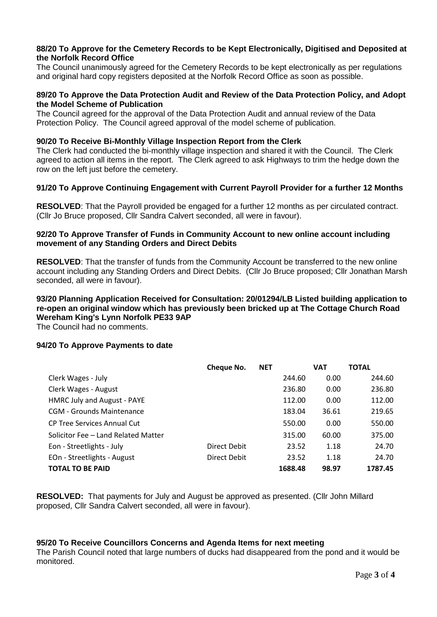#### **88/20 To Approve for the Cemetery Records to be Kept Electronically, Digitised and Deposited at the Norfolk Record Office**

The Council unanimously agreed for the Cemetery Records to be kept electronically as per regulations and original hard copy registers deposited at the Norfolk Record Office as soon as possible.

#### **89/20 To Approve the Data Protection Audit and Review of the Data Protection Policy, and Adopt the Model Scheme of Publication**

The Council agreed for the approval of the Data Protection Audit and annual review of the Data Protection Policy. The Council agreed approval of the model scheme of publication.

#### **90/20 To Receive Bi-Monthly Village Inspection Report from the Clerk**

The Clerk had conducted the bi-monthly village inspection and shared it with the Council. The Clerk agreed to action all items in the report. The Clerk agreed to ask Highways to trim the hedge down the row on the left just before the cemetery.

### **91/20 To Approve Continuing Engagement with Current Payroll Provider for a further 12 Months**

**RESOLVED**: That the Payroll provided be engaged for a further 12 months as per circulated contract. (Cllr Jo Bruce proposed, Cllr Sandra Calvert seconded, all were in favour).

#### **92/20 To Approve Transfer of Funds in Community Account to new online account including movement of any Standing Orders and Direct Debits**

**RESOLVED**: That the transfer of funds from the Community Account be transferred to the new online account including any Standing Orders and Direct Debits. (Cllr Jo Bruce proposed; Cllr Jonathan Marsh seconded, all were in favour).

## **93/20 Planning Application Received for Consultation: 20/01294/LB Listed building application to re-open an original window which has previously been bricked up at The Cottage Church Road Wereham King's Lynn Norfolk PE33 9AP**

The Council had no comments.

### **94/20 To Approve Payments to date**

|                                     | Cheque No.   | <b>NET</b> |         | <b>VAT</b> | <b>TOTAL</b> |
|-------------------------------------|--------------|------------|---------|------------|--------------|
| Clerk Wages - July                  |              |            | 244.60  | 0.00       | 244.60       |
| Clerk Wages - August                |              |            | 236.80  | 0.00       | 236.80       |
| HMRC July and August - PAYE         |              |            | 112.00  | 0.00       | 112.00       |
| <b>CGM - Grounds Maintenance</b>    |              |            | 183.04  | 36.61      | 219.65       |
| CP Tree Services Annual Cut         |              |            | 550.00  | 0.00       | 550.00       |
| Solicitor Fee - Land Related Matter |              |            | 315.00  | 60.00      | 375.00       |
| Eon - Streetlights - July           | Direct Debit |            | 23.52   | 1.18       | 24.70        |
| EOn - Streetlights - August         | Direct Debit |            | 23.52   | 1.18       | 24.70        |
| <b>TOTAL TO BE PAID</b>             |              |            | 1688.48 | 98.97      | 1787.45      |

**RESOLVED:** That payments for July and August be approved as presented. (Cllr John Millard proposed, Cllr Sandra Calvert seconded, all were in favour).

### **95/20 To Receive Councillors Concerns and Agenda Items for next meeting**

The Parish Council noted that large numbers of ducks had disappeared from the pond and it would be monitored.